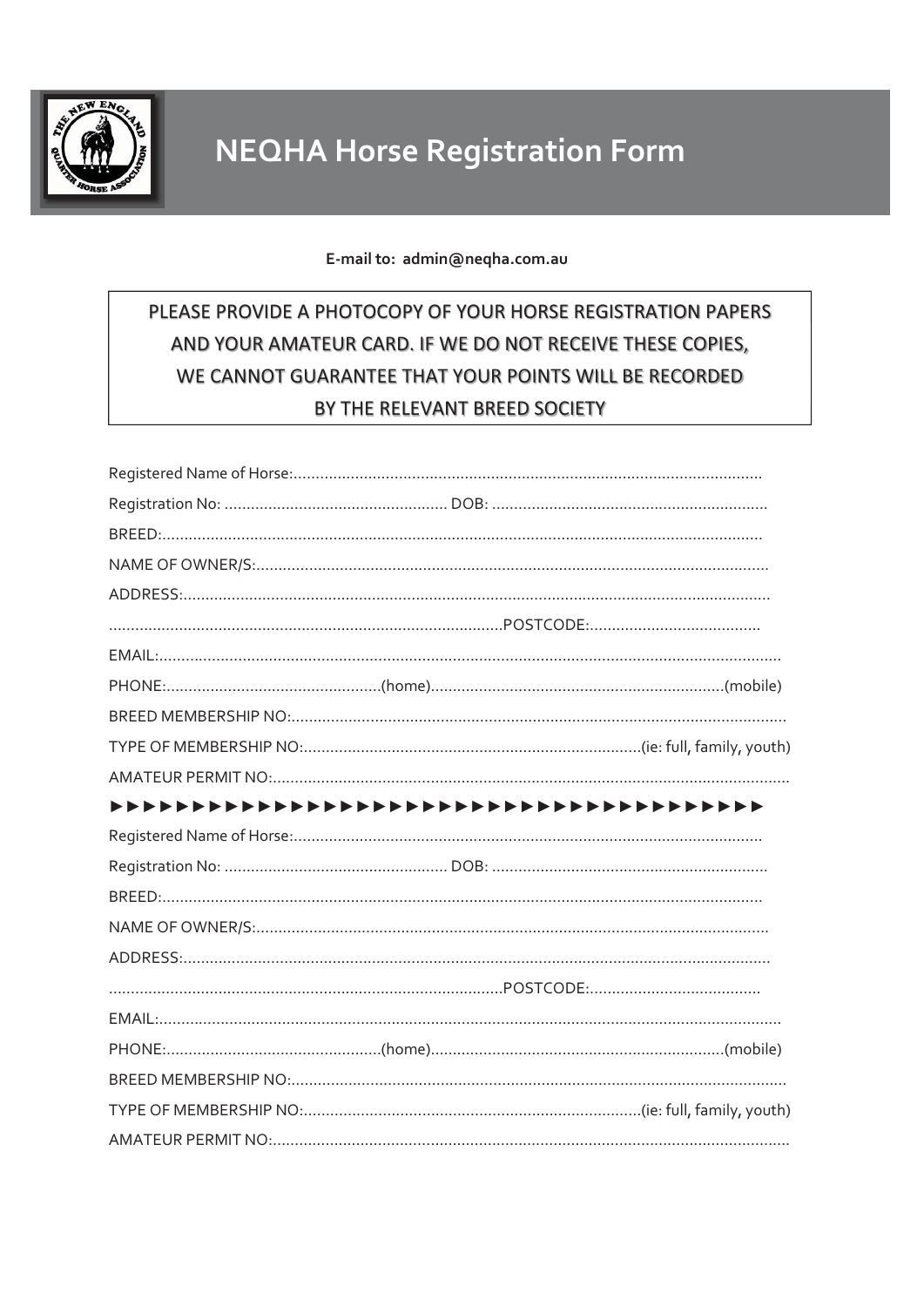

## E-mail to: admin@neqha.com.au

## PLEASE PROVIDE A PHOTOCOPY OF YOUR HORSE REGISTRATION PAPERS AND YOUR AMATEUR CARD. IF WE DO NOT RECEIVE THESE COPIES, WE CANNOT GUARANTEE THAT YOUR POINTS WILL BE RECORDED BY THE RELEVANT BREED SOCIETY